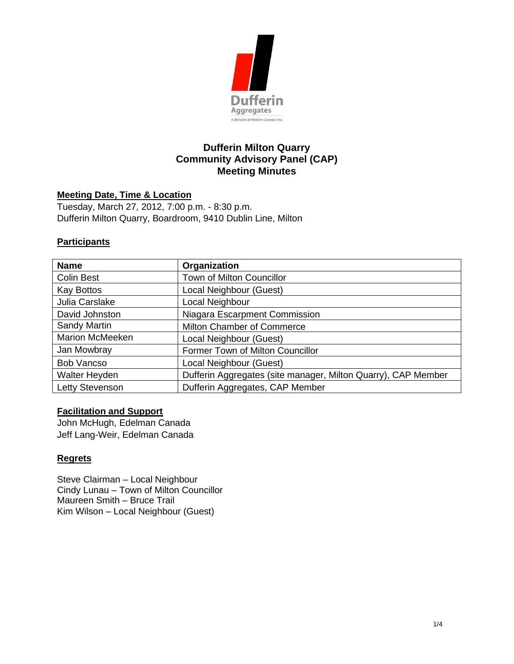

# **Dufferin Milton Quarry Community Advisory Panel (CAP) Meeting Minutes**

### **Meeting Date, Time & Location**

Tuesday, March 27, 2012, 7:00 p.m. - 8:30 p.m. Dufferin Milton Quarry, Boardroom, 9410 Dublin Line, Milton

### **Participants**

| <b>Name</b>            | Organization                                                  |
|------------------------|---------------------------------------------------------------|
| <b>Colin Best</b>      | <b>Town of Milton Councillor</b>                              |
| <b>Kay Bottos</b>      | Local Neighbour (Guest)                                       |
| Julia Carslake         | Local Neighbour                                               |
| David Johnston         | Niagara Escarpment Commission                                 |
| Sandy Martin           | Milton Chamber of Commerce                                    |
| <b>Marion McMeeken</b> | Local Neighbour (Guest)                                       |
| Jan Mowbray            | Former Town of Milton Councillor                              |
| <b>Bob Vancso</b>      | Local Neighbour (Guest)                                       |
| Walter Heyden          | Dufferin Aggregates (site manager, Milton Quarry), CAP Member |
| Letty Stevenson        | Dufferin Aggregates, CAP Member                               |

### **Facilitation and Support**

John McHugh, Edelman Canada Jeff Lang-Weir, Edelman Canada

### **Regrets**

Steve Clairman – Local Neighbour Cindy Lunau – Town of Milton Councillor Maureen Smith – Bruce Trail Kim Wilson – Local Neighbour (Guest)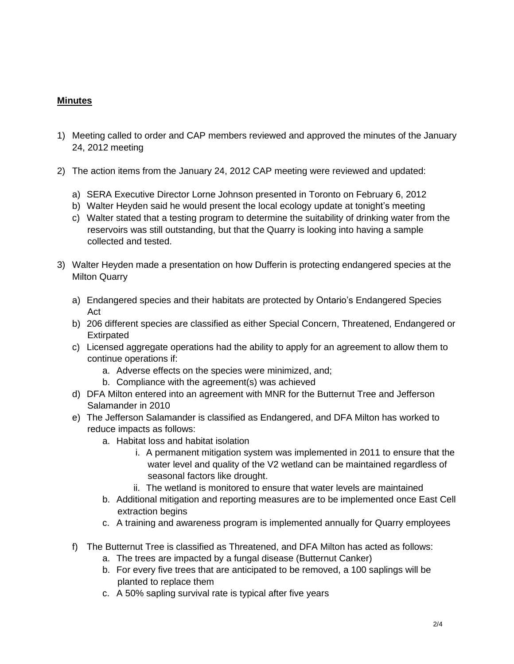## **Minutes**

- 1) Meeting called to order and CAP members reviewed and approved the minutes of the January 24, 2012 meeting
- 2) The action items from the January 24, 2012 CAP meeting were reviewed and updated:
	- a) SERA Executive Director Lorne Johnson presented in Toronto on February 6, 2012
	- b) Walter Heyden said he would present the local ecology update at tonight's meeting
	- c) Walter stated that a testing program to determine the suitability of drinking water from the reservoirs was still outstanding, but that the Quarry is looking into having a sample collected and tested.
- 3) Walter Heyden made a presentation on how Dufferin is protecting endangered species at the Milton Quarry
	- a) Endangered species and their habitats are protected by Ontario's Endangered Species Act
	- b) 206 different species are classified as either Special Concern, Threatened, Endangered or **Extirpated**
	- c) Licensed aggregate operations had the ability to apply for an agreement to allow them to continue operations if:
		- a. Adverse effects on the species were minimized, and;
		- b. Compliance with the agreement(s) was achieved
	- d) DFA Milton entered into an agreement with MNR for the Butternut Tree and Jefferson Salamander in 2010
	- e) The Jefferson Salamander is classified as Endangered, and DFA Milton has worked to reduce impacts as follows:
		- a. Habitat loss and habitat isolation
			- i. A permanent mitigation system was implemented in 2011 to ensure that the water level and quality of the V2 wetland can be maintained regardless of seasonal factors like drought.
			- ii. The wetland is monitored to ensure that water levels are maintained
		- b. Additional mitigation and reporting measures are to be implemented once East Cell extraction begins
		- c. A training and awareness program is implemented annually for Quarry employees
	- f) The Butternut Tree is classified as Threatened, and DFA Milton has acted as follows:
		- a. The trees are impacted by a fungal disease (Butternut Canker)
		- b. For every five trees that are anticipated to be removed, a 100 saplings will be planted to replace them
		- c. A 50% sapling survival rate is typical after five years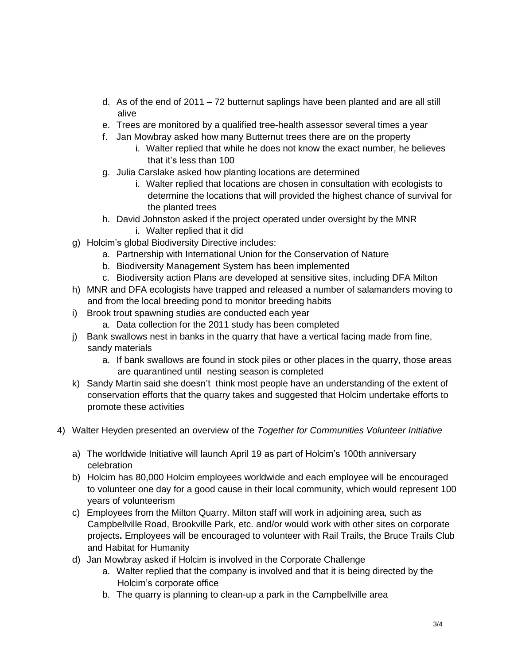- d. As of the end of 2011 72 butternut saplings have been planted and are all still alive
- e. Trees are monitored by a qualified tree-health assessor several times a year
- f. Jan Mowbray asked how many Butternut trees there are on the property
	- i. Walter replied that while he does not know the exact number, he believes that it's less than 100
- g. Julia Carslake asked how planting locations are determined
	- i. Walter replied that locations are chosen in consultation with ecologists to determine the locations that will provided the highest chance of survival for the planted trees
- h. David Johnston asked if the project operated under oversight by the MNR i. Walter replied that it did
- g) Holcim's global Biodiversity Directive includes:
	- a. Partnership with International Union for the Conservation of Nature
	- b. Biodiversity Management System has been implemented
	- c. Biodiversity action Plans are developed at sensitive sites, including DFA Milton
- h) MNR and DFA ecologists have trapped and released a number of salamanders moving to and from the local breeding pond to monitor breeding habits
- i) Brook trout spawning studies are conducted each year
	- a. Data collection for the 2011 study has been completed
- j) Bank swallows nest in banks in the quarry that have a vertical facing made from fine, sandy materials
	- a. If bank swallows are found in stock piles or other places in the quarry, those areas are quarantined until nesting season is completed
- k) Sandy Martin said she doesn't think most people have an understanding of the extent of conservation efforts that the quarry takes and suggested that Holcim undertake efforts to promote these activities
- 4) Walter Heyden presented an overview of the *Together for Communities Volunteer Initiative*
	- a) The worldwide Initiative will launch April 19 as part of Holcim's 100th anniversary celebration
	- b) Holcim has 80,000 Holcim employees worldwide and each employee will be encouraged to volunteer one day for a good cause in their local community, which would represent 100 years of volunteerism
	- c) Employees from the Milton Quarry. Milton staff will work in adjoining area, such as Campbellville Road, Brookville Park, etc. and/or would work with other sites on corporate projects**.** Employees will be encouraged to volunteer with Rail Trails, the Bruce Trails Club and Habitat for Humanity
	- d) Jan Mowbray asked if Holcim is involved in the Corporate Challenge
		- a. Walter replied that the company is involved and that it is being directed by the Holcim's corporate office
		- b. The quarry is planning to clean-up a park in the Campbellville area